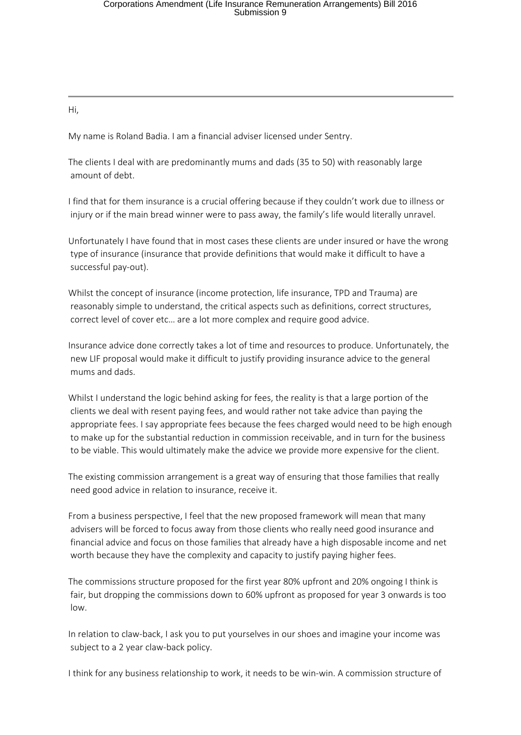Hi,

My name is Roland Badia. I am a financial adviser licensed under Sentry.

The clients I deal with are predominantly mums and dads (35 to 50) with reasonably large amount of debt.

I find that for them insurance is a crucial offering because if they couldn't work due to illness or injury or if the main bread winner were to pass away, the family's life would literally unravel.

Unfortunately I have found that in most cases these clients are under insured or have the wrong type of insurance (insurance that provide definitions that would make it difficult to have a successful pay-out).

Whilst the concept of insurance (income protection, life insurance, TPD and Trauma) are reasonably simple to understand, the critical aspects such as definitions, correct structures, correct level of cover etc… are a lot more complex and require good advice.

Insurance advice done correctly takes a lot of time and resources to produce. Unfortunately, the new LIF proposal would make it difficult to justify providing insurance advice to the general mums and dads.

Whilst I understand the logic behind asking for fees, the reality is that a large portion of the clients we deal with resent paying fees, and would rather not take advice than paying the appropriate fees. I say appropriate fees because the fees charged would need to be high enough to make up for the substantial reduction in commission receivable, and in turn for the business to be viable. This would ultimately make the advice we provide more expensive for the client.

The existing commission arrangement is a great way of ensuring that those families that really need good advice in relation to insurance, receive it.

From a business perspective, I feel that the new proposed framework will mean that many advisers will be forced to focus away from those clients who really need good insurance and financial advice and focus on those families that already have a high disposable income and net worth because they have the complexity and capacity to justify paying higher fees.

The commissions structure proposed for the first year 80% upfront and 20% ongoing I think is fair, but dropping the commissions down to 60% upfront as proposed for year 3 onwards is too low.

In relation to claw-back, I ask you to put yourselves in our shoes and imagine your income was subject to a 2 year claw-back policy.

I think for any business relationship to work, it needs to be win-win. A commission structure of